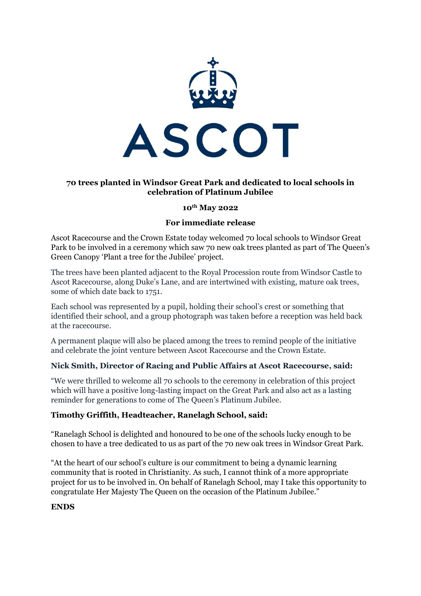

# **70 trees planted in Windsor Great Park and dedicated to local schools in celebration of Platinum Jubilee**

#### **10th May 2022**

### **For immediate release**

Ascot Racecourse and the Crown Estate today welcomed 70 local schools to Windsor Great Park to be involved in a ceremony which saw 70 new oak trees planted as part of The Queen's Green Canopy 'Plant a tree for the Jubilee' project.

The trees have been planted adjacent to the Royal Procession route from Windsor Castle to Ascot Racecourse, along Duke's Lane, and are intertwined with existing, mature oak trees, some of which date back to 1751.

Each school was represented by a pupil, holding their school's crest or something that identified their school, and a group photograph was taken before a reception was held back at the racecourse.

A permanent plaque will also be placed among the trees to remind people of the initiative and celebrate the joint venture between Ascot Racecourse and the Crown Estate.

## **Nick Smith, Director of Racing and Public Affairs at Ascot Racecourse, said:**

"We were thrilled to welcome all 70 schools to the ceremony in celebration of this project which will have a positive long-lasting impact on the Great Park and also act as a lasting reminder for generations to come of The Queen's Platinum Jubilee.

## **Timothy Griffith, Headteacher, Ranelagh School, said:**

"Ranelagh School is delighted and honoured to be one of the schools lucky enough to be chosen to have a tree dedicated to us as part of the 70 new oak trees in Windsor Great Park.

"At the heart of our school's culture is our commitment to being a dynamic learning community that is rooted in Christianity. As such, I cannot think of a more appropriate project for us to be involved in. On behalf of Ranelagh School, may I take this opportunity to congratulate Her Majesty The Queen on the occasion of the Platinum Jubilee."

#### **ENDS**